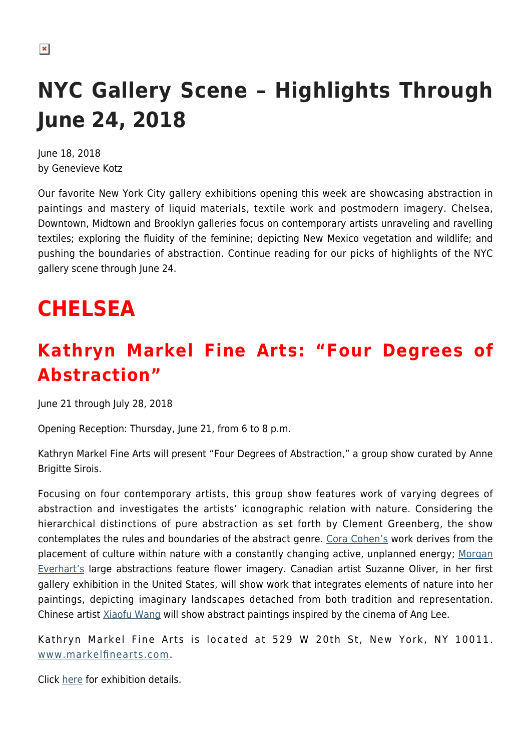# **NYC Gallery Scene – Highlights Through June 24, 2018**

June 18, 2018 by Genevieve Kotz

Our favorite New York City gallery exhibitions opening this week are showcasing abstraction in paintings and mastery of liquid materials, textile work and postmodern imagery. Chelsea, Downtown, Midtown and Brooklyn galleries focus on contemporary artists unraveling and ravelling textiles; exploring the fluidity of the feminine; depicting New Mexico vegetation and wildlife; and pushing the boundaries of abstraction. Continue reading for our picks of highlights of the NYC gallery scene through June 24.

# **CHELSEA**

### **Kathryn Markel Fine Arts: "Four Degrees of Abstraction"**

June 21 through July 28, 2018

Opening Reception: Thursday, June 21, from 6 to 8 p.m.

Kathryn Markel Fine Arts will present "Four Degrees of Abstraction," a group show curated by Anne Brigitte Sirois.

Focusing on four contemporary artists, this group show features work of varying degrees of abstraction and investigates the artists' iconographic relation with nature. Considering the hierarchical distinctions of pure abstraction as set forth by Clement Greenberg, the show contemplates the rules and boundaries of the abstract genre. [Cora Cohen's](http://www.coracohen.com) work derives from the placement of culture within nature with a constantly changing active, unplanned energy; [Morgan](https://www.morganeverhart.com) [Everhart's](https://www.morganeverhart.com) large abstractions feature flower imagery. Canadian artist Suzanne Oliver, in her first gallery exhibition in the United States, will show work that integrates elements of nature into her paintings, depicting imaginary landscapes detached from both tradition and representation. Chinese artist [Xiaofu Wang](https://www.wang-xiaofu.org) will show abstract paintings inspired by the cinema of Ang Lee.

Kathryn Markel Fine Arts is located at 529 W 20th St, New York, NY 10011. [www.markelfinearts.com](https://www.markelfinearts.com/).

Click [here](https://www.markelfinearts.com/exhibitions/97/overview/) for exhibition details.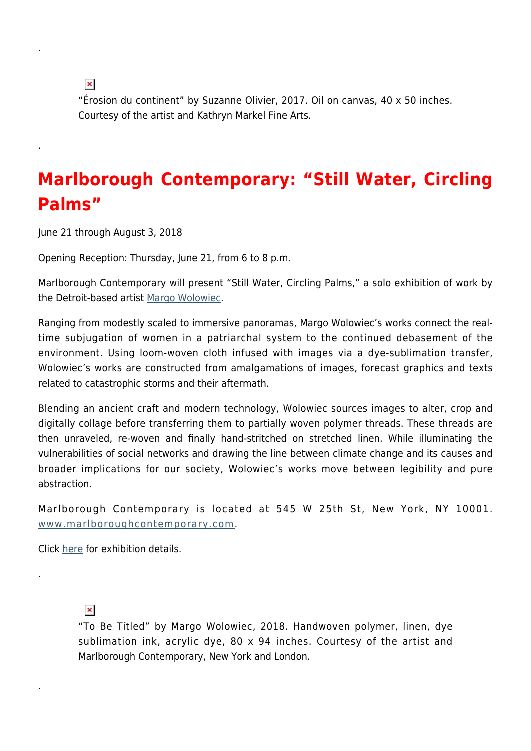$\pmb{\times}$ 

.

.

"Érosion du continent" by Suzanne Olivier, 2017. Oil on canvas, 40 x 50 inches. Courtesy of the artist and Kathryn Markel Fine Arts.

### **Marlborough Contemporary: "Still Water, Circling Palms"**

June 21 through August 3, 2018

Opening Reception: Thursday, June 21, from 6 to 8 p.m.

Marlborough Contemporary will present "Still Water, Circling Palms," a solo exhibition of work by the Detroit-based artist [Margo Wolowiec.](http://www.margowolowiec.com)

Ranging from modestly scaled to immersive panoramas, Margo Wolowiec's works connect the realtime subjugation of women in a patriarchal system to the continued debasement of the environment. Using loom-woven cloth infused with images via a dye-sublimation transfer, Wolowiec's works are constructed from amalgamations of images, forecast graphics and texts related to catastrophic storms and their aftermath.

Blending an ancient craft and modern technology, Wolowiec sources images to alter, crop and digitally collage before transferring them to partially woven polymer threads. These threads are then unraveled, re-woven and finally hand-stritched on stretched linen. While illuminating the vulnerabilities of social networks and drawing the line between climate change and its causes and broader implications for our society, Wolowiec's works move between legibility and pure abstraction.

Marlborough Contemporary is located at 545 W 25th St, New York, NY 10001. [www.marlboroughcontemporary.com.](http://www.marlboroughcontemporary.com/)

Click [here](http://www.marlboroughcontemporary.com/exhibitions/margo-wolowiec-still-water-circling-palms) for exhibition details.

#### $\pmb{\times}$

.

.

"To Be Titled" by Margo Wolowiec, 2018. Handwoven polymer, linen, dye sublimation ink, acrylic dye, 80 x 94 inches. Courtesy of the artist and Marlborough Contemporary, New York and London.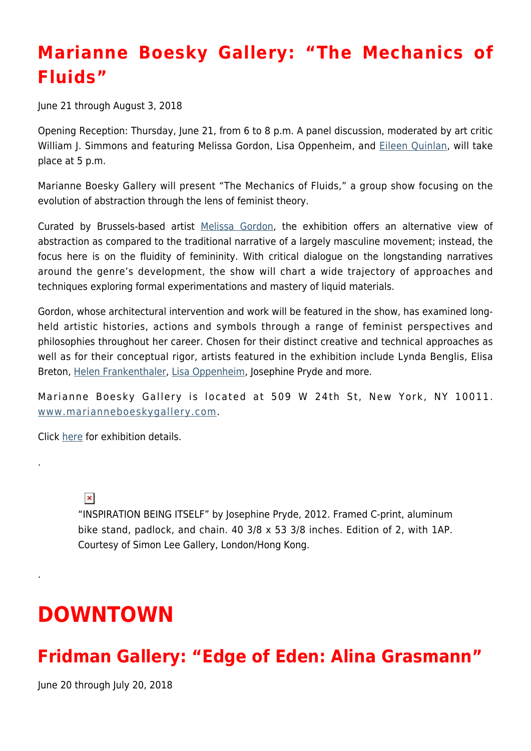### **Marianne Boesky Gallery: "The Mechanics of Fluids"**

June 21 through August 3, 2018

Opening Reception: Thursday, June 21, from 6 to 8 p.m. A panel discussion, moderated by art critic William J. Simmons and featuring Melissa Gordon, Lisa Oppenheim, and [Eileen Quinlan](http://www.eileenquinlan.com), will take place at 5 p.m.

Marianne Boesky Gallery will present "The Mechanics of Fluids," a group show focusing on the evolution of abstraction through the lens of feminist theory.

Curated by Brussels-based artist [Melissa Gordon](http://www.marianneboeskygallery.com/artists/melissa-gordon/works), the exhibition offers an alternative view of abstraction as compared to the traditional narrative of a largely masculine movement; instead, the focus here is on the fluidity of femininity. With critical dialogue on the longstanding narratives around the genre's development, the show will chart a wide trajectory of approaches and techniques exploring formal experimentations and mastery of liquid materials.

Gordon, whose architectural intervention and work will be featured in the show, has examined longheld artistic histories, actions and symbols through a range of feminist perspectives and philosophies throughout her career. Chosen for their distinct creative and technical approaches as well as for their conceptual rigor, artists featured in the exhibition include Lynda Benglis, Elisa Breton, [Helen Frankenthaler](http://www.frankenthalerfoundation.org), [Lisa Oppenheim,](http://www.lisaopp.net) Josephine Pryde and more.

Marianne Boesky Gallery is located at 509 W 24th St, New York, NY 10011. [www.marianneboeskygallery.com](http://www.marianneboeskygallery.com/).

Click [here](http://www.marianneboeskygallery.com/exhibitions/the-mechanics-of-fluidsgroup-showcurated-by-melissa-gordon/pressRelease) for exhibition details.

 $\pmb{\times}$ 

.

.

"INSPIRATION BEING ITSELF" by Josephine Pryde, 2012. Framed C-print, aluminum bike stand, padlock, and chain. 40 3/8 x 53 3/8 inches. Edition of 2, with 1AP. Courtesy of Simon Lee Gallery, London/Hong Kong.

## **DOWNTOWN**

#### **Fridman Gallery: "Edge of Eden: Alina Grasmann"**

June 20 through July 20, 2018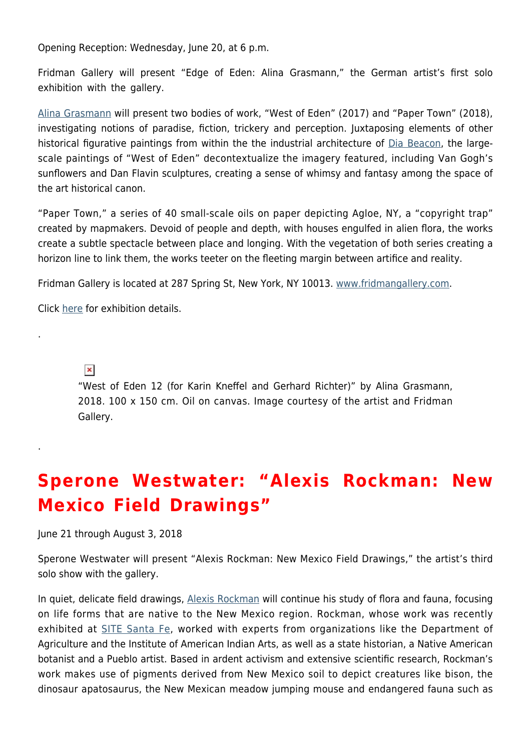Opening Reception: Wednesday, June 20, at 6 p.m.

Fridman Gallery will present "Edge of Eden: Alina Grasmann," the German artist's first solo exhibition with the gallery.

[Alina Grasmann](http://alinagrasmann.com) will present two bodies of work, "West of Eden" (2017) and "Paper Town" (2018), investigating notions of paradise, fiction, trickery and perception. Juxtaposing elements of other historical figurative paintings from within the the industrial architecture of [Dia Beacon](https://www.diaart.org/visit/visit/diabeacon-beacon-united-states), the largescale paintings of "West of Eden" decontextualize the imagery featured, including Van Gogh's sunflowers and Dan Flavin sculptures, creating a sense of whimsy and fantasy among the space of the art historical canon.

"Paper Town," a series of 40 small-scale oils on paper depicting Agloe, NY, a "copyright trap" created by mapmakers. Devoid of people and depth, with houses engulfed in alien flora, the works create a subtle spectacle between place and longing. With the vegetation of both series creating a horizon line to link them, the works teeter on the fleeting margin between artifice and reality.

Fridman Gallery is located at 287 Spring St, New York, NY 10013. [www.fridmangallery.com.](https://www.fridmangallery.com/)

Click [here](https://www.fridmangallery.com/east-of-eden) for exhibition details.

 $\pmb{\times}$ 

.

.

"West of Eden 12 (for Karin Kneffel and Gerhard Richter)" by Alina Grasmann, 2018. 100 x 150 cm. Oil on canvas. Image courtesy of the artist and Fridman Gallery.

### **Sperone Westwater: "Alexis Rockman: New Mexico Field Drawings"**

June 21 through August 3, 2018

Sperone Westwater will present "Alexis Rockman: New Mexico Field Drawings," the artist's third solo show with the gallery.

In quiet, delicate field drawings, [Alexis Rockman](http://alexisrockman.net) will continue his study of flora and fauna, focusing on life forms that are native to the New Mexico region. Rockman, whose work was recently exhibited at [SITE Santa Fe](https://sitesantafe.org), worked with experts from organizations like the Department of Agriculture and the Institute of American Indian Arts, as well as a state historian, a Native American botanist and a Pueblo artist. Based in ardent activism and extensive scientific research, Rockman's work makes use of pigments derived from New Mexico soil to depict creatures like bison, the dinosaur apatosaurus, the New Mexican meadow jumping mouse and endangered fauna such as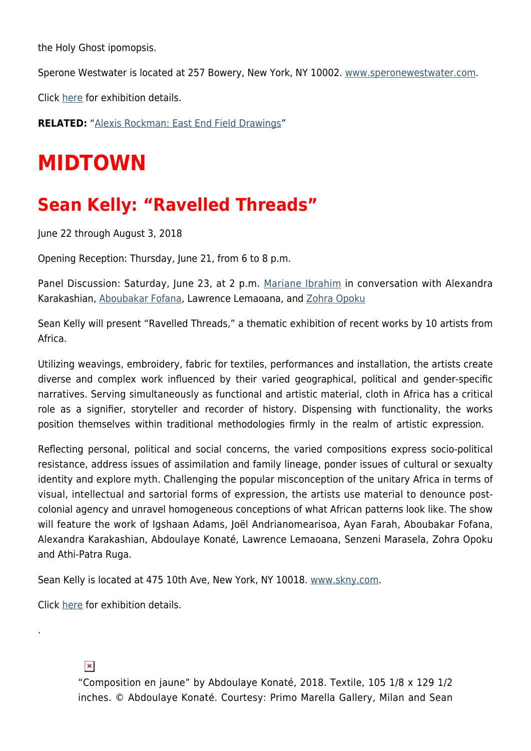the Holy Ghost ipomopsis.

Sperone Westwater is located at 257 Bowery, New York, NY 10002. [www.speronewestwater.com.](http://www.speronewestwater.com/)

Click [here](http://www.speronewestwater.com/exhibitions/alexis-rockman_2/installations) for exhibition details.

**RELATED:** ["Alexis Rockman: East End Field Drawings](https://hamptonsarthub.com/exhibition/alexis-rockman-east-end-field-drawings/)"

# **MIDTOWN**

#### **Sean Kelly: "Ravelled Threads"**

June 22 through August 3, 2018

Opening Reception: Thursday, June 21, from 6 to 8 p.m.

Panel Discussion: Saturday, June 23, at 2 p.m. [Mariane Ibrahim](http://marianeibrahim.com) in conversation with Alexandra Karakashian, [Aboubakar Fofana,](https://www.aboubakarfofana.com) Lawrence Lemaoana, and [Zohra Opoku](http://www.zohraopoku.com)

Sean Kelly will present "Ravelled Threads," a thematic exhibition of recent works by 10 artists from Africa.

Utilizing weavings, embroidery, fabric for textiles, performances and installation, the artists create diverse and complex work influenced by their varied geographical, political and gender-specific narratives. Serving simultaneously as functional and artistic material, cloth in Africa has a critical role as a signifier, storyteller and recorder of history. Dispensing with functionality, the works position themselves within traditional methodologies firmly in the realm of artistic expression.

Reflecting personal, political and social concerns, the varied compositions express socio-political resistance, address issues of assimilation and family lineage, ponder issues of cultural or sexualty identity and explore myth. Challenging the popular misconception of the unitary Africa in terms of visual, intellectual and sartorial forms of expression, the artists use material to denounce postcolonial agency and unravel homogeneous conceptions of what African patterns look like. The show will feature the work of Igshaan Adams, Joël Andrianomearisoa, Ayan Farah, Aboubakar Fofana, Alexandra Karakashian, Abdoulaye Konaté, Lawrence Lemaoana, Senzeni Marasela, Zohra Opoku and Athi-Patra Ruga.

Sean Kelly is located at 475 10th Ave, New York, NY 10018. [www.skny.com.](http://www.skny.com/)

Click [here](http://www.skny.com/exhibitions/ravelled-threads) for exhibition details.

 $\pmb{\times}$ 

.

"Composition en jaune" by Abdoulaye Konaté, 2018. Textile, 105 1/8 x 129 1/2 inches. © Abdoulaye Konaté. Courtesy: Primo Marella Gallery, Milan and Sean